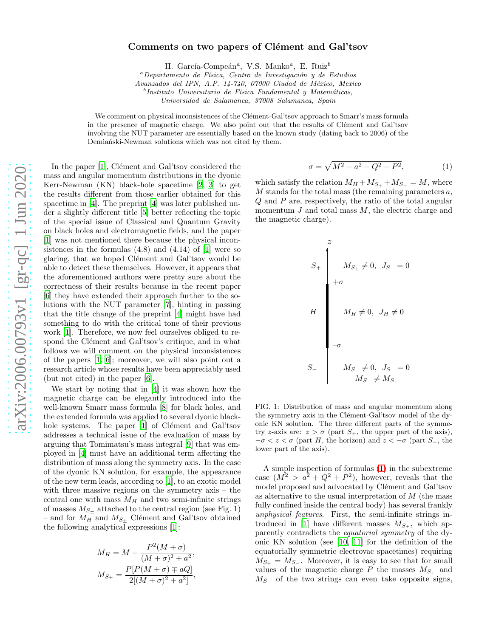## Comments on two papers of Clément and Gal'tsov

H. García-Compeán<sup>a</sup>, V.S. Manko<sup>a</sup>, E. Ruiz<sup>b</sup>

 ${}^a$ Departamento de Física, Centro de Investigación y de Estudios

Avanzados del IPN, A.P. 14-740, 07000 Ciudad de México, Mexico

 $b$ Instituto Universitario de Física Fundamental y Matemáticas,

Universidad de Salamanca, 37008 Salamanca, Spain

We comment on physical inconsistences of the Clément-Gal'tsov approach to Smarr's mass formula in the presence of magnetic charge. We also point out that the results of Clément and Gal'tsov involving the NUT parameter are essentially based on the known study (dating back to 2006) of the Demiański-Newman solutions which was not cited by them.

In the paper [\[1](#page-2-0)], Clément and Gal'tsov considered the mass and angular momentum distributions in the dyonic Kerr-Newman (KN) black-hole spacetime [\[2,](#page-2-1) [3](#page-2-2)] to get the results different from those earlier obtained for this spacetime in [\[4](#page-3-0)]. The preprint [\[4\]](#page-3-0) was later published under a slightly different title [\[5\]](#page-3-1) better reflecting the topic of the special issue of Classical and Quantum Gravity on black holes and electromagnetic fields, and the paper [\[1\]](#page-2-0) was not mentioned there because the physical inconsistences in the formulas  $(4.8)$  and  $(4.14)$  of  $[1]$  were so glaring, that we hoped Clément and Gal'tsov would be able to detect these themselves. However, it appears that the aforementioned authors were pretty sure about the correctness of their results because in the recent paper [\[6\]](#page-3-2) they have extended their approach further to the solutions with the NUT parameter [\[7\]](#page-3-3), hinting in passing that the title change of the preprint [\[4](#page-3-0)] might have had something to do with the critical tone of their previous work [\[1](#page-2-0)]. Therefore, we now feel ourselves obliged to respond the Clément and Gal'tsov's critique, and in what follows we will comment on the physical inconsistences of the papers [\[1,](#page-2-0) [6](#page-3-2)]; moreover, we will also point out a research article whose results have been appreciably used (but not cited) in the paper [\[6\]](#page-3-2).

We start by noting that in [\[4](#page-3-0)] it was shown how the magnetic charge can be elegantly introduced into the well-known Smarr mass formula [\[8](#page-3-4)] for black holes, and the extended formula was applied to several dyonic black-hole systems. The paper [\[1\]](#page-2-0) of Clément and Gal'tsov addresses a technical issue of the evaluation of mass by arguing that Tomimatsu's mass integral [\[9](#page-3-5)] that was employed in [\[4](#page-3-0)] must have an additional term affecting the distribution of mass along the symmetry axis. In the case of the dyonic KN solution, for example, the appearance of the new term leads, according to [\[1\]](#page-2-0), to an exotic model with three massive regions on the symmetry axis – the central one with mass  $M_H$  and two semi-infinite strings % of masses  $M_{S_{\pm}}$  attached to the central region (see Fig. 1) – and for  $M_H$  and  $M_{S_{\pm}}$  Clément and Gal'tsov obtained the following analytical expressions [\[1\]](#page-2-0):

<span id="page-0-0"></span>
$$
M_H = M - \frac{P^2(M + \sigma)}{(M + \sigma)^2 + a^2},
$$
  

$$
M_{S_{\pm}} = \frac{P[P(M + \sigma) \mp aQ]}{2[(M + \sigma)^2 + a^2]},
$$

$$
\sigma = \sqrt{M^2 - a^2 - Q^2 - P^2},\tag{1}
$$

which satisfy the relation  $M_H + M_{S_+} + M_{S_-} = M$ , where  $M$  stands for the total mass (the remaining parameters  $a$ , Q and P are, respectively, the ratio of the total angular momentum  $J$  and total mass  $M$ , the electric charge and the magnetic charge).

$$
S_{+}
$$
\n
$$
M_{S_{+}} \neq 0, J_{S_{+}} = 0
$$
\n
$$
H
$$
\n
$$
M_{H} \neq 0, J_{H} \neq 0
$$
\n
$$
S_{-}
$$
\n
$$
M_{S_{-}} \neq 0, J_{S_{-}} = 0
$$
\n
$$
M_{S_{-}} \neq M_{S_{+}}
$$

FIG. 1: Distribution of mass and angular momentum along the symmetry axis in the Clément-Gal'tsov model of the dyonic KN solution. The three different parts of the symmetry z-axis are:  $z > \sigma$  (part  $S_+$ , the upper part of the axis),  $-\sigma < z < \sigma$  (part H, the horizon) and  $z < -\sigma$  (part  $S_-$ , the lower part of the axis).

A simple inspection of formulas [\(1\)](#page-0-0) in the subextreme case  $(M^2 > a^2 + Q^2 + P^2)$ , however, reveals that the model proposed and advocated by Clément and Gal'tsov as alternative to the usual interpretation of M (the mass fully confined inside the central body) has several frankly unphysical features. First, the semi-infinite strings in-troduced in [\[1](#page-2-0)] have different masses  $M_{S+}$ , which apparently contradicts the equatorial symmetry of the dyonic KN solution (see [\[10,](#page-3-6) [11\]](#page-3-7) for the definition of the equatorially symmetric electrovac spacetimes) requiring  $M_{S_{+}} = M_{S_{-}}$ . Moreover, it is easy to see that for small values of the magnetic charge P the masses  $M_{S_+}$  and  $M_{S-}$  of the two strings can even take opposite signs,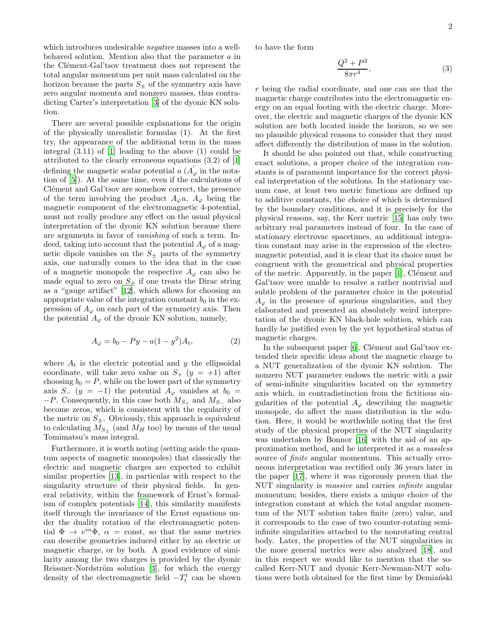which introduces undesirable negative masses into a wellbehaved solution. Mention also that the parameter a in the Clément-Gal'tsov treatment does not represent the total angular momentum per unit mass calculated on the horizon because the parts  $S_{\pm}$  of the symmetry axis have zero angular momenta and nonzero masses, thus contradicting Carter's interpretation [\[3\]](#page-2-2) of the dyonic KN solution.

There are several possible explanations for the origin of the physically unrealistic formulas (1). At the first try, the appearance of the additional term in the mass integral (3.11) of [\[1](#page-2-0)] leading to the above (1) could be attributed to the clearly erroneous equations (3.2) of [\[1](#page-2-0)] defining the magnetic scalar potential  $u(A'_{\varphi})$  in the notation of [\[5](#page-3-1)]). At the same time, even if the calculations of Clément and Gal'tsov are somehow correct, the presence of the term involving the product  $A_{\varphi} u$ ,  $A_{\varphi}$  being the magnetic component of the electromagnetic 4-potential, must not really produce any effect on the usual physical interpretation of the dyonic KN solution because there are arguments in favor of vanishing of such a term. Indeed, taking into account that the potential  $A_{\varphi}$  of a magnetic dipole vanishes on the  $S_{\pm}$  parts of the symmetry axis, one naturally comes to the idea that in the case of a magnetic monopole the respective  $A_{\varphi}$  can also be made equal to zero on  $S_{\pm}$  if one treats the Dirac string as a "gauge artifact" [\[12\]](#page-3-8), which allows for choosing an appropriate value of the integration constant  $b_0$  in the expression of  $A_{\varphi}$  on each part of the symmetry axis. Then the potential  $A_{\varphi}$  of the dyonic KN solution, namely,

$$
A_{\varphi} = b_0 - Py - a(1 - y^2)A_t,
$$
 (2)

where  $A_t$  is the electric potential and y the ellipsoidal coordinate, will take zero value on  $S_{+}$   $(y = +1)$  after choosing  $b_0 = P$ , while on the lower part of the symmetry axis  $S_ - (y = -1)$  the potential  $A_{\varphi}$  vanishes at  $b_0 =$  $-P$ . Consequently, in this case both  $M_{S_+}$  and  $M_{S_-}$  also become zeros, which is consistent with the regularity of the metric on  $S_{\pm}$ . Obviously, this approach is equivalent to calculating  $M_{S_{\pm}}$  (and  $M_H$  too) by means of the usual Tomimatsu's mass integral.

Furthermore, it is worth noting (setting aside the quantum aspects of magnetic monopoles) that classically the electric and magnetic charges are expected to exhibit similar properties [\[13](#page-3-9)], in particular with respect to the singularity structure of their physical fields. In general relativity, within the framework of Ernst's formalism of complex potentials [\[14\]](#page-3-10), this similarity manifests itself through the invariance of the Ernst equations under the duality rotation of the electromagnetic potential  $\Phi \to e^{i\alpha} \Phi$ ,  $\alpha = \text{const}$ , so that the same metrics can describe geometries induced either by an electric or magnetic charge, or by both. A good evidence of similarity among the two charges is provided by the dyonic Reissner-Nordström solution [\[3\]](#page-2-2), for which the energy density of the electromagnetic field  $-T_t^t$  can be shown

to have the form

$$
\frac{Q^2 + P^2}{8\pi r^4},\tag{3}
$$

r being the radial coordinate, and one can see that the magnetic charge contributes into the electromagnetic energy on an equal footing with the electric charge. Moreover, the electric and magnetic charges of the dyonic KN solution are both located inside the horizon, so we see no plausible physical reasons to consider that they must affect differently the distribution of mass in the solution.

It should be also pointed out that, while constructing exact solutions, a proper choice of the integration constants is of paramount importance for the correct physical interpretation of the solutions. In the stationary vacuum case, at least two metric functions are defined up to additive constants, the choice of which is determined by the boundary conditions, and it is precisely for the physical reasons, say, the Kerr metric [\[15\]](#page-3-11) has only two arbitrary real parameters instead of four. In the case of stationary electrovac spacetimes, an additional integration constant may arise in the expression of the electromagnetic potential, and it is clear that its choice must be congruent with the geometrical and physical properties of the metric. Apparently, in the paper  $[1]$ , Clément and Gal'tsov were unable to resolve a rather nontrivial and subtle problem of the parameter choice in the potential  $A_{\varphi}$  in the presence of spurious singularities, and they elaborated and presented an absolutely weird interpretation of the dyonic KN black-hole solution, which can hardly be justified even by the yet hypothetical status of magnetic charges.

In the subsequent paper  $[6]$ , Clément and Gal'tsov extended their specific ideas about the magnetic charge to a NUT generalization of the dyonic KN solution. The nonzero NUT parameter endows the metric with a pair of semi-infinite singularities located on the symmetry axis which, in contradistinction from the fictitious singularities of the potential  $A_{\varphi}$  describing the magnetic monopole, do affect the mass distribution in the solution. Here, it would be worthwhile noting that the first study of the physical properties of the NUT singularity was undertaken by Bonnor [\[16](#page-3-12)] with the aid of an approximation method, and he interpreted it as a massless source of finite angular momentum. This actually erroneous interpretation was rectified only 36 years later in the paper [\[17](#page-3-13)], where it was rigorously proven that the NUT singularity is massive and carries infinite angular momentum; besides, there exists a unique choice of the integration constant at which the total angular momentum of the NUT solution takes finite (zero) value, and it corresponds to the case of two counter-rotating semiinfinite singularities attached to the nonrotating central body. Later, the properties of the NUT singularities in the more general metrics were also analyzed [\[18\]](#page-3-14), and in this respect we would like to mention that the socalled Kerr-NUT and dyonic Kerr-Newman-NUT solutions were both obtained for the first time by Demianski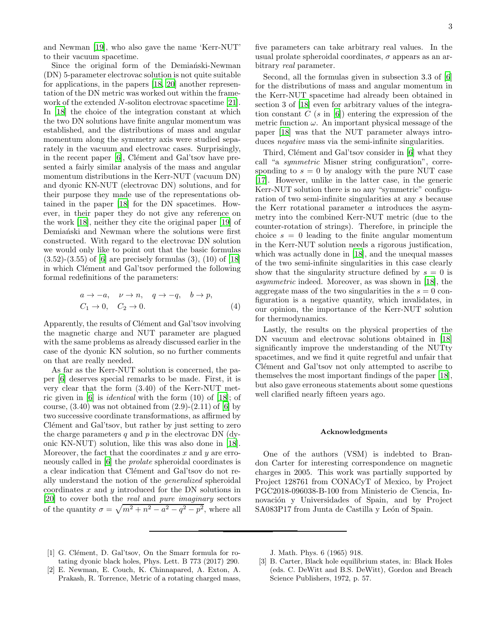and Newman [\[19\]](#page-3-15), who also gave the name 'Kerr-NUT' to their vacuum spacetime.

Since the original form of the Demiański-Newman (DN) 5-parameter electrovac solution is not quite suitable for applications, in the papers [\[18,](#page-3-14) [20\]](#page-3-16) another representation of the DN metric was worked out within the framework of the extended N-soliton electrovac spacetime [\[21\]](#page-3-17). In [\[18](#page-3-14)] the choice of the integration constant at which the two DN solutions have finite angular momentum was established, and the distributions of mass and angular momentum along the symmetry axis were studied separately in the vacuum and electrovac cases. Surprisingly, in the recent paper  $[6]$ , Clément and Gal'tsov have presented a fairly similar analysis of the mass and angular momentum distributions in the Kerr-NUT (vacuum DN) and dyonic KN-NUT (electrovac DN) solutions, and for their purpose they made use of the representations obtained in the paper [\[18](#page-3-14)] for the DN spacetimes. However, in their paper they do not give any reference on the work [\[18\]](#page-3-14), neither they cite the original paper [\[19](#page-3-15)] of Demiański and Newman where the solutions were first constructed. With regard to the electrovac DN solution we would only like to point out that the basic formulas  $(3.52)$ - $(3.55)$  of [\[6](#page-3-2)] are precisely formulas  $(3)$ ,  $(10)$  of [\[18](#page-3-14)] in which Clément and Gal'tsov performed the following formal redefinitions of the parameters:

$$
a \to -a, \quad \nu \to n, \quad q \to -q, \quad b \to p,
$$
  
\n
$$
C_1 \to 0, \quad C_2 \to 0.
$$
 (4)

Apparently, the results of Clément and Gal'tsov involving the magnetic charge and NUT parameter are plagued with the same problems as already discussed earlier in the case of the dyonic KN solution, so no further comments on that are really needed.

As far as the Kerr-NUT solution is concerned, the paper [\[6\]](#page-3-2) deserves special remarks to be made. First, it is very clear that the form (3.40) of the Kerr-NUT metric given in [\[6\]](#page-3-2) is identical with the form (10) of [\[18\]](#page-3-14); of course,  $(3.40)$  was not obtained from  $(2.9)-(2.11)$  of [\[6](#page-3-2)] by two successive coordinate transformations, as affirmed by Clément and Gal'tsov, but rather by just setting to zero the charge parameters q and  $p$  in the electrovac DN (dyonic KN-NUT) solution, like this was also done in [\[18\]](#page-3-14). Moreover, the fact that the coordinates  $x$  and  $y$  are erro-neously called in [\[6\]](#page-3-2) the *prolate* spheroidal coordinates is a clear indication that Clément and Gal'tsov do not really understand the notion of the generalized spheroidal coordinates  $x$  and  $y$  introduced for the DN solutions in [\[20\]](#page-3-16) to cover both the real and pure imaginary sectors of the quantity  $\sigma = \sqrt{m^2 + n^2 - a^2 - q^2 - p^2}$ , where all

five parameters can take arbitrary real values. In the usual prolate spheroidal coordinates,  $\sigma$  appears as an arbitrary real parameter.

Second, all the formulas given in subsection 3.3 of [\[6](#page-3-2)] for the distributions of mass and angular momentum in the Kerr-NUT spacetime had already been obtained in section 3 of [\[18](#page-3-14)] even for arbitrary values of the integration constant  $C$  (s in [\[6\]](#page-3-2)) entering the expression of the metric function  $\omega$ . An important physical message of the paper [\[18](#page-3-14)] was that the NUT parameter always introduces *negative* mass via the semi-infinite singularities.

Third, Clément and Gal'tsov consider in [\[6\]](#page-3-2) what they call "a symmetric Misner string configuration", corresponding to  $s = 0$  by analogy with the pure NUT case [\[17\]](#page-3-13). However, unlike in the latter case, in the generic Kerr-NUT solution there is no any "symmetric" configuration of two semi-infinite singularities at any s because the Kerr rotational parameter a introduces the asymmetry into the combined Kerr-NUT metric (due to the counter-rotation of strings). Therefore, in principle the choice  $s = 0$  leading to the finite angular momentum in the Kerr-NUT solution needs a rigorous justification, which was actually done in [\[18](#page-3-14)], and the unequal masses of the two semi-infinite singularities in this case clearly show that the singularity structure defined by  $s = 0$  is asymmetric indeed. Moreover, as was shown in [\[18](#page-3-14)], the aggregate mass of the two singularities in the  $s = 0$  configuration is a negative quantity, which invalidates, in our opinion, the importance of the Kerr-NUT solution for thermodynamics.

Lastly, the results on the physical properties of the DN vacuum and electrovac solutions obtained in [\[18](#page-3-14)] significantly improve the understanding of the NUTty spacetimes, and we find it quite regretful and unfair that Clément and Gal'tsov not only attempted to ascribe to themselves the most important findings of the paper [\[18\]](#page-3-14), but also gave erroneous statements about some questions well clarified nearly fifteen years ago.

## Acknowledgments

One of the authors (VSM) is indebted to Brandon Carter for interesting correspondence on magnetic charges in 2005. This work was partially supported by Project 128761 from CONACyT of Mexico, by Project PGC2018-096038-B-100 from Ministerio de Ciencia, Innovación y Universidades of Spain, and by Project SA083P17 from Junta de Castilla y León of Spain.

- <span id="page-2-0"></span>[1] G. Clément, D. Gal'tsov, On the Smarr formula for rotating dyonic black holes, Phys. Lett. B 773 (2017) 290.
- <span id="page-2-1"></span>[2] E. Newman, E. Couch, K. Chinnapared, A. Exton, A. Prakash, R. Torrence, Metric of a rotating charged mass,

J. Math. Phys. 6 (1965) 918.

<span id="page-2-2"></span><sup>[3]</sup> B. Carter, Black hole equilibrium states, in: Black Holes (eds. C. DeWitt and B.S. DeWitt), Gordon and Breach Science Publishers, 1972, p. 57.